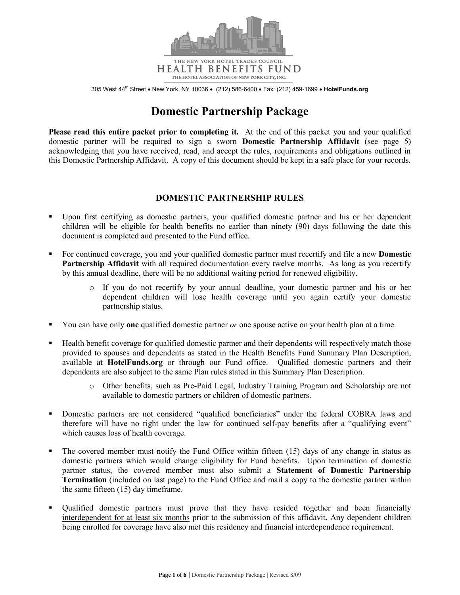

**HEALTH BENEFITS FUND** THE HOTEL ASSOCIATION OF NEW YORK CITY, INC.

305 West 44<sup>th</sup> Street . New York, NY 10036 . (212) 586-6400 . Fax: (212) 459-1699 . HotelFunds.org

# **Domestic Partnership Package**

**Please read this entire packet prior to completing it.** At the end of this packet you and your qualified domestic partner will be required to sign a sworn **Domestic Partnership Affidavit** (see page 5) acknowledging that you have received, read, and accept the rules, requirements and obligations outlined in this Domestic Partnership Affidavit. A copy of this document should be kept in a safe place for your records.

# **DOMESTIC PARTNERSHIP RULES**

- Upon first certifying as domestic partners, your qualified domestic partner and his or her dependent children will be eligible for health benefits no earlier than ninety (90) days following the date this document is completed and presented to the Fund office.
- For continued coverage, you and your qualified domestic partner must recertify and file a new **Domestic Partnership Affidavit** with all required documentation every twelve months. As long as you recertify by this annual deadline, there will be no additional waiting period for renewed eligibility.
	- o If you do not recertify by your annual deadline, your domestic partner and his or her dependent children will lose health coverage until you again certify your domestic partnership status.
- You can have only **one** qualified domestic partner *or* one spouse active on your health plan at a time.
- Health benefit coverage for qualified domestic partner and their dependents will respectively match those provided to spouses and dependents as stated in the Health Benefits Fund Summary Plan Description, available at **HotelFunds.org** or through our Fund office. Qualified domestic partners and their dependents are also subject to the same Plan rules stated in this Summary Plan Description.
	- o Other benefits, such as Pre-Paid Legal, Industry Training Program and Scholarship are not available to domestic partners or children of domestic partners.
- Domestic partners are not considered "qualified beneficiaries" under the federal COBRA laws and therefore will have no right under the law for continued self-pay benefits after a "qualifying event" which causes loss of health coverage.
- The covered member must notify the Fund Office within fifteen (15) days of any change in status as domestic partners which would change eligibility for Fund benefits. Upon termination of domestic partner status, the covered member must also submit a **Statement of Domestic Partnership Termination** (included on last page) to the Fund Office and mail a copy to the domestic partner within the same fifteen (15) day timeframe.
- Qualified domestic partners must prove that they have resided together and been financially interdependent for at least six months prior to the submission of this affidavit. Any dependent children being enrolled for coverage have also met this residency and financial interdependence requirement.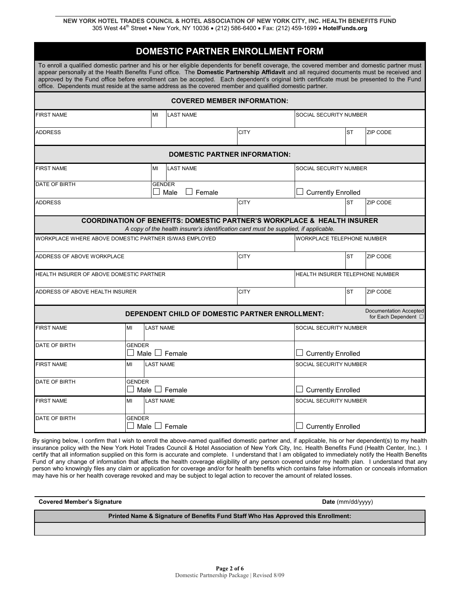| DOMESTIC PARTNER ENROLLMENT FORM                                                                                                                                                                                                                                                                                                                                                                                                                                                                                                                 |                                        |                                     |                                                                                                                                                                           |                                      |                            |                                 |                 |                                                            |  |  |
|--------------------------------------------------------------------------------------------------------------------------------------------------------------------------------------------------------------------------------------------------------------------------------------------------------------------------------------------------------------------------------------------------------------------------------------------------------------------------------------------------------------------------------------------------|----------------------------------------|-------------------------------------|---------------------------------------------------------------------------------------------------------------------------------------------------------------------------|--------------------------------------|----------------------------|---------------------------------|-----------------|------------------------------------------------------------|--|--|
| To enroll a qualified domestic partner and his or her eligible dependents for benefit coverage, the covered member and domestic partner must<br>appear personally at the Health Benefits Fund office. The Domestic Partnership Affidavit and all required documents must be received and<br>approved by the Fund office before enrollment can be accepted. Each dependent's original birth certificate must be presented to the Fund<br>office. Dependents must reside at the same address as the covered member and qualified domestic partner. |                                        |                                     |                                                                                                                                                                           |                                      |                            |                                 |                 |                                                            |  |  |
|                                                                                                                                                                                                                                                                                                                                                                                                                                                                                                                                                  |                                        |                                     |                                                                                                                                                                           | <b>COVERED MEMBER INFORMATION:</b>   |                            |                                 |                 |                                                            |  |  |
| <b>FIRST NAME</b>                                                                                                                                                                                                                                                                                                                                                                                                                                                                                                                                |                                        | MI                                  | SOCIAL SECURITY NUMBER<br><b>LAST NAME</b>                                                                                                                                |                                      |                            |                                 |                 |                                                            |  |  |
| <b>ADDRESS</b>                                                                                                                                                                                                                                                                                                                                                                                                                                                                                                                                   |                                        |                                     |                                                                                                                                                                           | <b>CITY</b>                          |                            |                                 | <b>ST</b>       | ZIP CODE                                                   |  |  |
|                                                                                                                                                                                                                                                                                                                                                                                                                                                                                                                                                  |                                        |                                     |                                                                                                                                                                           | <b>DOMESTIC PARTNER INFORMATION:</b> |                            |                                 |                 |                                                            |  |  |
| <b>FIRST NAME</b>                                                                                                                                                                                                                                                                                                                                                                                                                                                                                                                                |                                        | MI<br><b>LAST NAME</b>              |                                                                                                                                                                           |                                      |                            | SOCIAL SECURITY NUMBER          |                 |                                                            |  |  |
| DATE OF BIRTH                                                                                                                                                                                                                                                                                                                                                                                                                                                                                                                                    | <b>GENDER</b><br>$\Box$ Female<br>Male |                                     |                                                                                                                                                                           |                                      |                            | <b>Currently Enrolled</b>       |                 |                                                            |  |  |
| <b>ADDRESS</b>                                                                                                                                                                                                                                                                                                                                                                                                                                                                                                                                   |                                        |                                     |                                                                                                                                                                           | <b>CITY</b>                          |                            |                                 | <b>ST</b>       | ZIP CODE                                                   |  |  |
|                                                                                                                                                                                                                                                                                                                                                                                                                                                                                                                                                  |                                        |                                     | <b>COORDINATION OF BENEFITS: DOMESTIC PARTNER'S WORKPLACE &amp; HEALTH INSURER</b><br>A copy of the health insurer's identification card must be supplied, if applicable. |                                      |                            |                                 |                 |                                                            |  |  |
| WORKPLACE WHERE ABOVE DOMESTIC PARTNER IS/WAS EMPLOYED                                                                                                                                                                                                                                                                                                                                                                                                                                                                                           |                                        |                                     |                                                                                                                                                                           |                                      | WORKPLACE TELEPHONE NUMBER |                                 |                 |                                                            |  |  |
| ADDRESS OF ABOVE WORKPLACE                                                                                                                                                                                                                                                                                                                                                                                                                                                                                                                       |                                        |                                     |                                                                                                                                                                           | <b>CITY</b>                          |                            |                                 | <b>ST</b>       | ZIP CODE                                                   |  |  |
| HEALTH INSURER OF ABOVE DOMESTIC PARTNER                                                                                                                                                                                                                                                                                                                                                                                                                                                                                                         |                                        |                                     |                                                                                                                                                                           |                                      |                            | HEALTH INSURER TELEPHONE NUMBER |                 |                                                            |  |  |
| ADDRESS OF ABOVE HEALTH INSURER                                                                                                                                                                                                                                                                                                                                                                                                                                                                                                                  |                                        |                                     | <b>CITY</b>                                                                                                                                                               |                                      |                            |                                 | <b>ZIP CODE</b> |                                                            |  |  |
|                                                                                                                                                                                                                                                                                                                                                                                                                                                                                                                                                  |                                        |                                     | DEPENDENT CHILD OF DOMESTIC PARTNER ENROLLMENT:                                                                                                                           |                                      |                            |                                 |                 | <b>Documentation Accepted</b><br>for Each Dependent $\Box$ |  |  |
| <b>FIRST NAME</b>                                                                                                                                                                                                                                                                                                                                                                                                                                                                                                                                | MI                                     | <b>LAST NAME</b>                    |                                                                                                                                                                           |                                      |                            | SOCIAL SECURITY NUMBER          |                 |                                                            |  |  |
| DATE OF BIRTH                                                                                                                                                                                                                                                                                                                                                                                                                                                                                                                                    |                                        | <b>GENDER</b><br>Male $\Box$ Female |                                                                                                                                                                           |                                      |                            | <b>Currently Enrolled</b>       |                 |                                                            |  |  |
| <b>FIRST NAME</b>                                                                                                                                                                                                                                                                                                                                                                                                                                                                                                                                | MI                                     |                                     | <b>LAST NAME</b>                                                                                                                                                          |                                      |                            | SOCIAL SECURITY NUMBER          |                 |                                                            |  |  |
| DATE OF BIRTH                                                                                                                                                                                                                                                                                                                                                                                                                                                                                                                                    | <b>GENDER</b>                          | Male $\Box$ Female                  |                                                                                                                                                                           |                                      | $\Box$ Currently Enrolled  |                                 |                 |                                                            |  |  |
| <b>FIRST NAME</b>                                                                                                                                                                                                                                                                                                                                                                                                                                                                                                                                | MI                                     |                                     | <b>LAST NAME</b>                                                                                                                                                          |                                      |                            | SOCIAL SECURITY NUMBER          |                 |                                                            |  |  |
| DATE OF BIRTH                                                                                                                                                                                                                                                                                                                                                                                                                                                                                                                                    | <b>GENDER</b>                          | Male   Female                       |                                                                                                                                                                           |                                      |                            | <b>Currently Enrolled</b>       |                 |                                                            |  |  |

By signing below, I confirm that I wish to enroll the above-named qualified domestic partner and, if applicable, his or her dependent(s) to my health insurance policy with the New York Hotel Trades Council & Hotel Association of New York City, Inc. Health Benefits Fund (Health Center, Inc.). I certify that all information supplied on this form is accurate and complete. I understand that I am obligated to immediately notify the Health Benefits Fund of any change of information that affects the health coverage eligibility of any person covered under my health plan. I understand that any person who knowingly files any claim or application for coverage and/or for health benefits which contains false information or conceals information may have his or her health coverage revoked and may be subject to legal action to recover the amount of related losses.

**Covered Member's Signature Date** (mm/dd/yyyy)

**Printed Name & Signature of Benefits Fund Staff Who Has Approved this Enrollment:**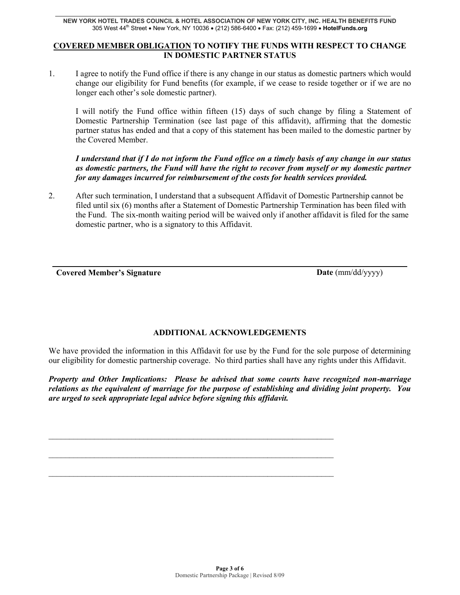### **COVERED MEMBER OBLIGATION TO NOTIFY THE FUNDS WITH RESPECT TO CHANGE IN DOMESTIC PARTNER STATUS**

1. I agree to notify the Fund office if there is any change in our status as domestic partners which would change our eligibility for Fund benefits (for example, if we cease to reside together or if we are no longer each other's sole domestic partner).

I will notify the Fund office within fifteen (15) days of such change by filing a Statement of Domestic Partnership Termination (see last page of this affidavit), affirming that the domestic partner status has ended and that a copy of this statement has been mailed to the domestic partner by the Covered Member.

## *I understand that if I do not inform the Fund office on a timely basis of any change in our status as domestic partners, the Fund will have the right to recover from myself or my domestic partner for any damages incurred for reimbursement of the costs for health services provided.*

2. After such termination, I understand that a subsequent Affidavit of Domestic Partnership cannot be filed until six (6) months after a Statement of Domestic Partnership Termination has been filed with the Fund. The six-month waiting period will be waived only if another affidavit is filed for the same domestic partner, who is a signatory to this Affidavit.

**Covered Member's Signature Date** (mm/dd/yyyy)

# **ADDITIONAL ACKNOWLEDGEMENTS**

We have provided the information in this Affidavit for use by the Fund for the sole purpose of determining our eligibility for domestic partnership coverage. No third parties shall have any rights under this Affidavit.

*Property and Other Implications: Please be advised that some courts have recognized non-marriage relations as the equivalent of marriage for the purpose of establishing and dividing joint property. You are urged to seek appropriate legal advice before signing this affidavit.*

 $\mathcal{L}_\text{max} = \frac{1}{2} \sum_{i=1}^n \mathcal{L}_\text{max}(\mathbf{x}_i - \mathbf{y}_i)$ 

 $\mathcal{L}_\text{max} = \frac{1}{2} \sum_{i=1}^n \mathcal{L}_\text{max}(\mathbf{x}_i - \mathbf{y}_i)$ 

 $\mathcal{L}_\text{max} = \frac{1}{2} \sum_{i=1}^n \mathcal{L}_\text{max}(\mathbf{x}_i - \mathbf{y}_i)$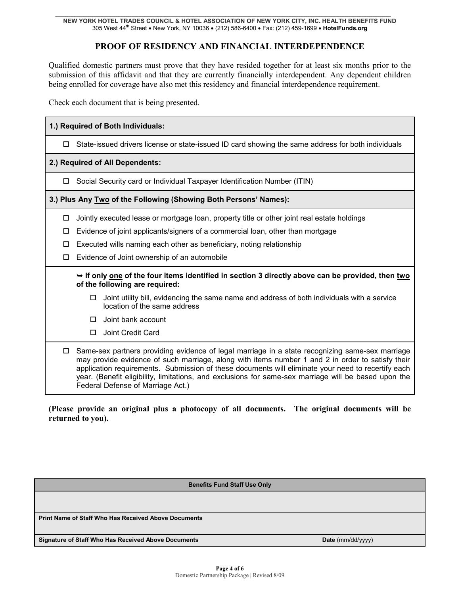# **PROOF OF RESIDENCY AND FINANCIAL INTERDEPENDENCE**

Qualified domestic partners must prove that they have resided together for at least six months prior to the submission of this affidavit and that they are currently financially interdependent. Any dependent children being enrolled for coverage have also met this residency and financial interdependence requirement.

Check each document that is being presented.

| 1.) Required of Both Individuals:                                                                                                |                                                                                                                                                                                                                                                                                                                                                                                                                                                        |  |  |  |  |  |  |
|----------------------------------------------------------------------------------------------------------------------------------|--------------------------------------------------------------------------------------------------------------------------------------------------------------------------------------------------------------------------------------------------------------------------------------------------------------------------------------------------------------------------------------------------------------------------------------------------------|--|--|--|--|--|--|
| 0                                                                                                                                | State-issued drivers license or state-issued ID card showing the same address for both individuals                                                                                                                                                                                                                                                                                                                                                     |  |  |  |  |  |  |
| 2.) Required of All Dependents:                                                                                                  |                                                                                                                                                                                                                                                                                                                                                                                                                                                        |  |  |  |  |  |  |
|                                                                                                                                  | Social Security card or Individual Taxpayer Identification Number (ITIN)                                                                                                                                                                                                                                                                                                                                                                               |  |  |  |  |  |  |
| 3.) Plus Any Two of the Following (Showing Both Persons' Names):                                                                 |                                                                                                                                                                                                                                                                                                                                                                                                                                                        |  |  |  |  |  |  |
| □                                                                                                                                | Jointly executed lease or mortgage loan, property title or other joint real estate holdings                                                                                                                                                                                                                                                                                                                                                            |  |  |  |  |  |  |
| □                                                                                                                                | Evidence of joint applicants/signers of a commercial loan, other than mortgage                                                                                                                                                                                                                                                                                                                                                                         |  |  |  |  |  |  |
| □                                                                                                                                | Executed wills naming each other as beneficiary, noting relationship                                                                                                                                                                                                                                                                                                                                                                                   |  |  |  |  |  |  |
| □                                                                                                                                | Evidence of Joint ownership of an automobile                                                                                                                                                                                                                                                                                                                                                                                                           |  |  |  |  |  |  |
| If only one of the four items identified in section 3 directly above can be provided, then two<br>of the following are required: |                                                                                                                                                                                                                                                                                                                                                                                                                                                        |  |  |  |  |  |  |
|                                                                                                                                  | Joint utility bill, evidencing the same name and address of both individuals with a service<br>□<br>location of the same address                                                                                                                                                                                                                                                                                                                       |  |  |  |  |  |  |
|                                                                                                                                  | Joint bank account<br>□                                                                                                                                                                                                                                                                                                                                                                                                                                |  |  |  |  |  |  |
|                                                                                                                                  | Joint Credit Card                                                                                                                                                                                                                                                                                                                                                                                                                                      |  |  |  |  |  |  |
| $\Box$                                                                                                                           | Same-sex partners providing evidence of legal marriage in a state recognizing same-sex marriage<br>may provide evidence of such marriage, along with items number 1 and 2 in order to satisfy their<br>application requirements. Submission of these documents will eliminate your need to recertify each<br>year. (Benefit eligibility, limitations, and exclusions for same-sex marriage will be based upon the<br>Federal Defense of Marriage Act.) |  |  |  |  |  |  |

**(Please provide an original plus a photocopy of all documents. The original documents will be returned to you).** 

| <b>Benefits Fund Staff Use Only</b> |  |  |  |  |  |  |
|-------------------------------------|--|--|--|--|--|--|
|                                     |  |  |  |  |  |  |
|                                     |  |  |  |  |  |  |
| ff Who Has Received Above Documents |  |  |  |  |  |  |
|                                     |  |  |  |  |  |  |

**Signature of Staff Who Has Received Above Documents Date** (mm/dd/yyyy)

**Print Name of Sta**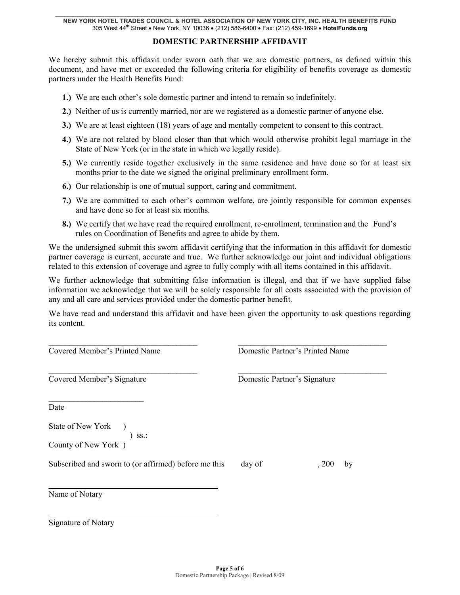### **DOMESTIC PARTNERSHIP AFFIDAVIT**

We hereby submit this affidavit under sworn oath that we are domestic partners, as defined within this document, and have met or exceeded the following criteria for eligibility of benefits coverage as domestic partners under the Health Benefits Fund:

- **1.)** We are each other's sole domestic partner and intend to remain so indefinitely.
- **2.)** Neither of us is currently married, nor are we registered as a domestic partner of anyone else.
- **3.)** We are at least eighteen (18) years of age and mentally competent to consent to this contract.
- **4.)** We are not related by blood closer than that which would otherwise prohibit legal marriage in the State of New York (or in the state in which we legally reside).
- **5.)** We currently reside together exclusively in the same residence and have done so for at least six months prior to the date we signed the original preliminary enrollment form.
- **6.)** Our relationship is one of mutual support, caring and commitment.
- **7.)** We are committed to each other's common welfare, are jointly responsible for common expenses and have done so for at least six months.
- **8.)** We certify that we have read the required enrollment, re-enrollment, termination and the Fund's rules on Coordination of Benefits and agree to abide by them.

We the undersigned submit this sworn affidavit certifying that the information in this affidavit for domestic partner coverage is current, accurate and true. We further acknowledge our joint and individual obligations related to this extension of coverage and agree to fully comply with all items contained in this affidavit.

We further acknowledge that submitting false information is illegal, and that if we have supplied false information we acknowledge that we will be solely responsible for all costs associated with the provision of any and all care and services provided under the domestic partner benefit.

We have read and understand this affidavit and have been given the opportunity to ask questions regarding its content.

| Covered Member's Printed Name                           | Domestic Partner's Printed Name |             |  |  |
|---------------------------------------------------------|---------------------------------|-------------|--|--|
| Covered Member's Signature                              | Domestic Partner's Signature    |             |  |  |
| Date                                                    |                                 |             |  |  |
| State of New York )<br>$)$ SS.:<br>County of New York ) |                                 |             |  |  |
| Subscribed and sworn to (or affirmed) before me this    | day of                          | , 200<br>by |  |  |
| Name of Notary                                          |                                 |             |  |  |

Signature of Notary